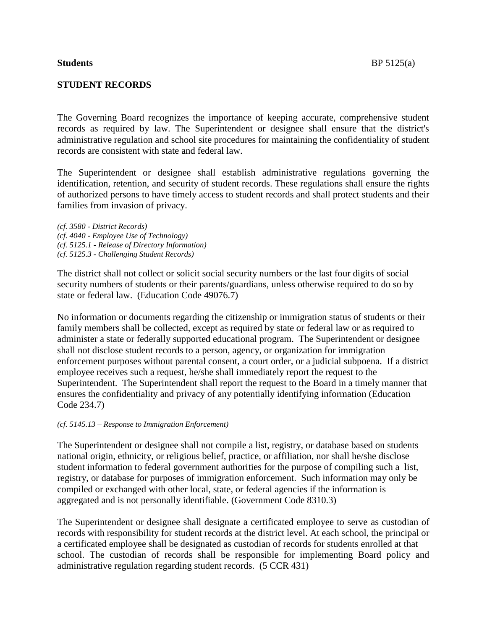## **STUDENT RECORDS**

The Governing Board recognizes the importance of keeping accurate, comprehensive student records as required by law. The Superintendent or designee shall ensure that the district's administrative regulation and school site procedures for maintaining the confidentiality of student records are consistent with state and federal law.

The Superintendent or designee shall establish administrative regulations governing the identification, retention, and security of student records. These regulations shall ensure the rights of authorized persons to have timely access to student records and shall protect students and their families from invasion of privacy.

*(cf. 3580 - District Records) (cf. 4040 - Employee Use of Technology) (cf. 5125.1 - Release of Directory Information) (cf. 5125.3 - Challenging Student Records)*

The district shall not collect or solicit social security numbers or the last four digits of social security numbers of students or their parents/guardians, unless otherwise required to do so by state or federal law. (Education Code 49076.7)

No information or documents regarding the citizenship or immigration status of students or their family members shall be collected, except as required by state or federal law or as required to administer a state or federally supported educational program. The Superintendent or designee shall not disclose student records to a person, agency, or organization for immigration enforcement purposes without parental consent, a court order, or a judicial subpoena. If a district employee receives such a request, he/she shall immediately report the request to the Superintendent. The Superintendent shall report the request to the Board in a timely manner that ensures the confidentiality and privacy of any potentially identifying information (Education Code 234.7)

## *(cf. 5145.13 – Response to Immigration Enforcement)*

The Superintendent or designee shall not compile a list, registry, or database based on students national origin, ethnicity, or religious belief, practice, or affiliation, nor shall he/she disclose student information to federal government authorities for the purpose of compiling such a list, registry, or database for purposes of immigration enforcement. Such information may only be compiled or exchanged with other local, state, or federal agencies if the information is aggregated and is not personally identifiable. (Government Code 8310.3)

The Superintendent or designee shall designate a certificated employee to serve as custodian of records with responsibility for student records at the district level. At each school, the principal or a certificated employee shall be designated as custodian of records for students enrolled at that school. The custodian of records shall be responsible for implementing Board policy and administrative regulation regarding student records. (5 CCR 431)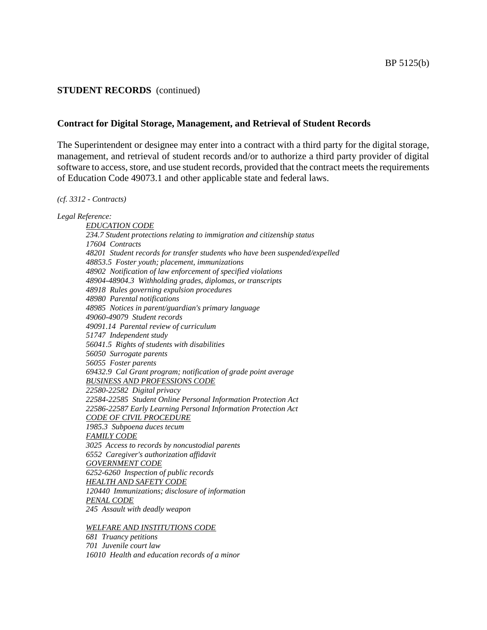## **Contract for Digital Storage, Management, and Retrieval of Student Records**

The Superintendent or designee may enter into a contract with a third party for the digital storage, management, and retrieval of student records and/or to authorize a third party provider of digital software to access, store, and use student records, provided that the contract meets the requirements of Education Code 49073.1 and other applicable state and federal laws.

#### *(cf. 3312 - Contracts)*

#### *Legal Reference:*

*EDUCATION CODE 234.7 Student protections relating to immigration and citizenship status 17604 Contracts 48201 Student records for transfer students who have been suspended/expelled 48853.5 Foster youth; placement, immunizations 48902 Notification of law enforcement of specified violations 48904-48904.3 Withholding grades, diplomas, or transcripts 48918 Rules governing expulsion procedures 48980 Parental notifications 48985 Notices in parent/guardian's primary language 49060-49079 Student records 49091.14 Parental review of curriculum 51747 Independent study 56041.5 Rights of students with disabilities 56050 Surrogate parents 56055 Foster parents 69432.9 Cal Grant program; notification of grade point average BUSINESS AND PROFESSIONS CODE 22580-22582 Digital privacy 22584-22585 Student Online Personal Information Protection Act 22586-22587 Early Learning Personal Information Protection Act CODE OF CIVIL PROCEDURE 1985.3 Subpoena duces tecum FAMILY CODE 3025 Access to records by noncustodial parents 6552 Caregiver's authorization affidavit GOVERNMENT CODE 6252-6260 Inspection of public records HEALTH AND SAFETY CODE 120440 Immunizations; disclosure of information PENAL CODE 245 Assault with deadly weapon*

*WELFARE AND INSTITUTIONS CODE*

*681 Truancy petitions 701 Juvenile court law 16010 Health and education records of a minor*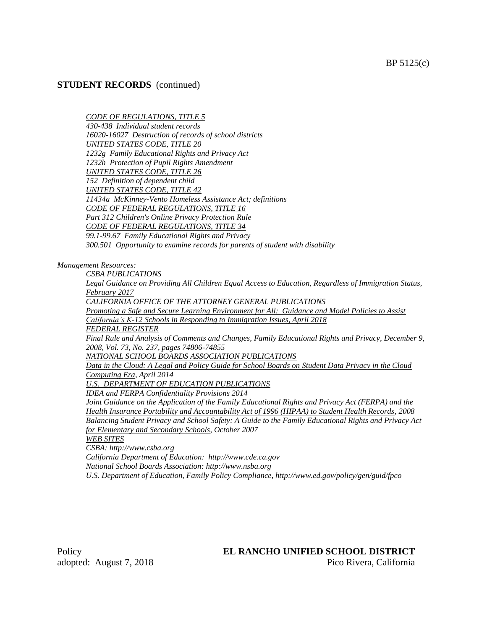#### *CODE OF REGULATIONS, TITLE 5*

*430-438 Individual student records 16020-16027 Destruction of records of school districts UNITED STATES CODE, TITLE 20 1232g Family Educational Rights and Privacy Act 1232h Protection of Pupil Rights Amendment UNITED STATES CODE, TITLE 26 152 Definition of dependent child UNITED STATES CODE, TITLE 42 11434a McKinney-Vento Homeless Assistance Act; definitions CODE OF FEDERAL REGULATIONS, TITLE 16 Part 312 Children's Online Privacy Protection Rule CODE OF FEDERAL REGULATIONS, TITLE 34 99.1-99.67 Family Educational Rights and Privacy 300.501 Opportunity to examine records for parents of student with disability*

*Management Resources:*

*CSBA PUBLICATIONS*

*Legal Guidance on Providing All Children Equal Access to Education, Regardless of Immigration Status, February 2017 CALIFORNIA OFFICE OF THE ATTORNEY GENERAL PUBLICATIONS*

*Promoting a Safe and Secure Learning Environment for All: Guidance and Model Policies to Assist California's K-12 Schools in Responding to Immigration Issues, April 2018*

*FEDERAL REGISTER*

*Final Rule and Analysis of Comments and Changes, Family Educational Rights and Privacy, December 9, 2008, Vol. 73, No. 237, pages 74806-74855*

*NATIONAL SCHOOL BOARDS ASSOCIATION PUBLICATIONS*

*Data in the Cloud: A Legal and Policy Guide for School Boards on Student Data Privacy in the Cloud Computing Era, April 2014*

*U.S. DEPARTMENT OF EDUCATION PUBLICATIONS*

*IDEA and FERPA Confidentiality Provisions 2014*

*Joint Guidance on the Application of the Family Educational Rights and Privacy Act (FERPA) and the Health Insurance Portability and Accountability Act of 1996 (HIPAA) to Student Health Records, 2008 Balancing Student Privacy and School Safety: A Guide to the Family Educational Rights and Privacy Act for Elementary and Secondary Schools, October 2007*

*WEB SITES*

*CSBA: http://www.csba.org*

*California Department of Education: http://www.cde.ca.gov*

*National School Boards Association: http://www.nsba.org*

*U.S. Department of Education, Family Policy Compliance, http://www.ed.gov/policy/gen/guid/fpco*

# Policy **EL RANCHO UNIFIED SCHOOL DISTRICT**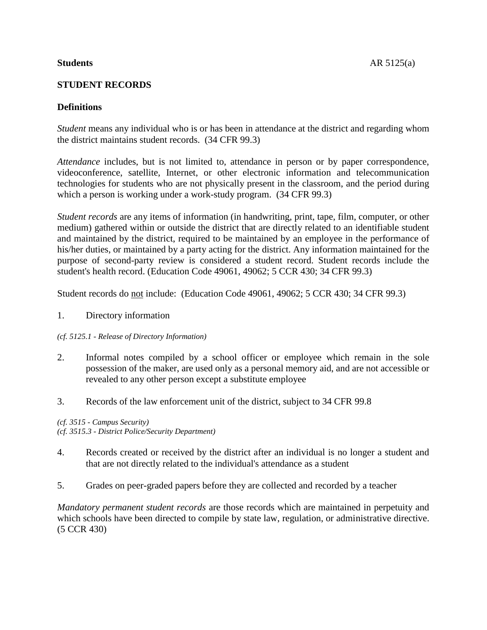# **STUDENT RECORDS**

# **Definitions**

*Student* means any individual who is or has been in attendance at the district and regarding whom the district maintains student records. (34 CFR 99.3)

*Attendance* includes, but is not limited to, attendance in person or by paper correspondence, videoconference, satellite, Internet, or other electronic information and telecommunication technologies for students who are not physically present in the classroom, and the period during which a person is working under a work-study program. (34 CFR 99.3)

*Student records* are any items of information (in handwriting, print, tape, film, computer, or other medium) gathered within or outside the district that are directly related to an identifiable student and maintained by the district, required to be maintained by an employee in the performance of his/her duties, or maintained by a party acting for the district. Any information maintained for the purpose of second-party review is considered a student record. Student records include the student's health record. (Education Code 49061, 49062; 5 CCR 430; 34 CFR 99.3)

Student records do not include: (Education Code 49061, 49062; 5 CCR 430; 34 CFR 99.3)

1. Directory information

# *(cf. 5125.1 - Release of Directory Information)*

- 2. Informal notes compiled by a school officer or employee which remain in the sole possession of the maker, are used only as a personal memory aid, and are not accessible or revealed to any other person except a substitute employee
- 3. Records of the law enforcement unit of the district, subject to 34 CFR 99.8

*(cf. 3515 - Campus Security) (cf. 3515.3 - District Police/Security Department)*

- 4. Records created or received by the district after an individual is no longer a student and that are not directly related to the individual's attendance as a student
- 5. Grades on peer-graded papers before they are collected and recorded by a teacher

*Mandatory permanent student records* are those records which are maintained in perpetuity and which schools have been directed to compile by state law, regulation, or administrative directive. (5 CCR 430)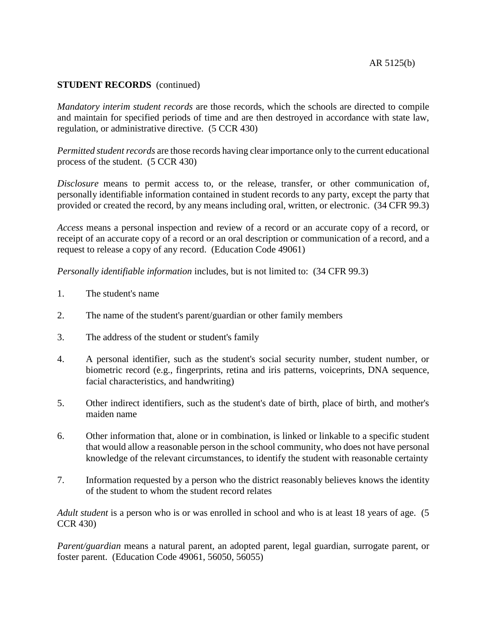*Mandatory interim student records* are those records, which the schools are directed to compile and maintain for specified periods of time and are then destroyed in accordance with state law, regulation, or administrative directive. (5 CCR 430)

*Permitted student records* are those records having clear importance only to the current educational process of the student. (5 CCR 430)

*Disclosure* means to permit access to, or the release, transfer, or other communication of, personally identifiable information contained in student records to any party, except the party that provided or created the record, by any means including oral, written, or electronic. (34 CFR 99.3)

*Access* means a personal inspection and review of a record or an accurate copy of a record, or receipt of an accurate copy of a record or an oral description or communication of a record, and a request to release a copy of any record. (Education Code 49061)

*Personally identifiable information* includes, but is not limited to: (34 CFR 99.3)

- 1. The student's name
- 2. The name of the student's parent/guardian or other family members
- 3. The address of the student or student's family
- 4. A personal identifier, such as the student's social security number, student number, or biometric record (e.g., fingerprints, retina and iris patterns, voiceprints, DNA sequence, facial characteristics, and handwriting)
- 5. Other indirect identifiers, such as the student's date of birth, place of birth, and mother's maiden name
- 6. Other information that, alone or in combination, is linked or linkable to a specific student that would allow a reasonable person in the school community, who does not have personal knowledge of the relevant circumstances, to identify the student with reasonable certainty
- 7. Information requested by a person who the district reasonably believes knows the identity of the student to whom the student record relates

*Adult student* is a person who is or was enrolled in school and who is at least 18 years of age. (5 CCR 430)

*Parent/guardian* means a natural parent, an adopted parent, legal guardian, surrogate parent, or foster parent. (Education Code 49061, 56050, 56055)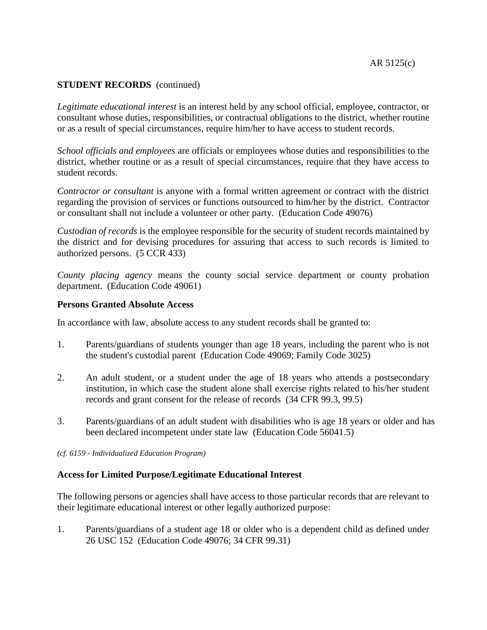*Legitimate educational interest* is an interest held by any school official, employee, contractor, or consultant whose duties, responsibilities, or contractual obligations to the district, whether routine or as a result of special circumstances, require him/her to have access to student records.

*School officials and employees* are officials or employees whose duties and responsibilities to the district, whether routine or as a result of special circumstances, require that they have access to student records.

*Contractor or consultant* is anyone with a formal written agreement or contract with the district regarding the provision of services or functions outsourced to him/her by the district. Contractor or consultant shall not include a volunteer or other party. (Education Code 49076)

*Custodian of records* is the employee responsible for the security of student records maintained by the district and for devising procedures for assuring that access to such records is limited to authorized persons. (5 CCR 433)

*County placing agency* means the county social service department or county probation department. (Education Code 49061)

## **Persons Granted Absolute Access**

In accordance with law, absolute access to any student records shall be granted to:

- 1. Parents/guardians of students younger than age 18 years, including the parent who is not the student's custodial parent (Education Code 49069; Family Code 3025)
- 2. An adult student, or a student under the age of 18 years who attends a postsecondary institution, in which case the student alone shall exercise rights related to his/her student records and grant consent for the release of records (34 CFR 99.3, 99.5)
- 3. Parents/guardians of an adult student with disabilities who is age 18 years or older and has been declared incompetent under state law (Education Code 56041.5)
- *(cf. 6159 - Individualized Education Program)*

## **Access for Limited Purpose/Legitimate Educational Interest**

The following persons or agencies shall have access to those particular records that are relevant to their legitimate educational interest or other legally authorized purpose:

1. Parents/guardians of a student age 18 or older who is a dependent child as defined under 26 USC 152 (Education Code 49076; 34 CFR 99.31)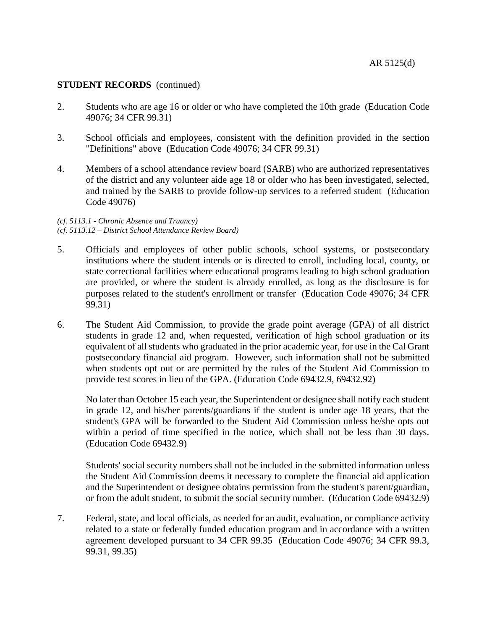- 2. Students who are age 16 or older or who have completed the 10th grade (Education Code 49076; 34 CFR 99.31)
- 3. School officials and employees, consistent with the definition provided in the section "Definitions" above (Education Code 49076; 34 CFR 99.31)
- 4. Members of a school attendance review board (SARB) who are authorized representatives of the district and any volunteer aide age 18 or older who has been investigated, selected, and trained by the SARB to provide follow-up services to a referred student (Education Code 49076)

#### *(cf. 5113.1 - Chronic Absence and Truancy) (cf. 5113.12 – District School Attendance Review Board)*

- 5. Officials and employees of other public schools, school systems, or postsecondary institutions where the student intends or is directed to enroll, including local, county, or state correctional facilities where educational programs leading to high school graduation are provided, or where the student is already enrolled, as long as the disclosure is for purposes related to the student's enrollment or transfer (Education Code 49076; 34 CFR 99.31)
- 6. The Student Aid Commission, to provide the grade point average (GPA) of all district students in grade 12 and, when requested, verification of high school graduation or its equivalent of all students who graduated in the prior academic year, for use in the Cal Grant postsecondary financial aid program. However, such information shall not be submitted when students opt out or are permitted by the rules of the Student Aid Commission to provide test scores in lieu of the GPA. (Education Code 69432.9, 69432.92)

No later than October 15 each year, the Superintendent or designee shall notify each student in grade 12, and his/her parents/guardians if the student is under age 18 years, that the student's GPA will be forwarded to the Student Aid Commission unless he/she opts out within a period of time specified in the notice, which shall not be less than 30 days. (Education Code 69432.9)

Students' social security numbers shall not be included in the submitted information unless the Student Aid Commission deems it necessary to complete the financial aid application and the Superintendent or designee obtains permission from the student's parent/guardian, or from the adult student, to submit the social security number. (Education Code 69432.9)

7. Federal, state, and local officials, as needed for an audit, evaluation, or compliance activity related to a state or federally funded education program and in accordance with a written agreement developed pursuant to 34 CFR 99.35 (Education Code 49076; 34 CFR 99.3, 99.31, 99.35)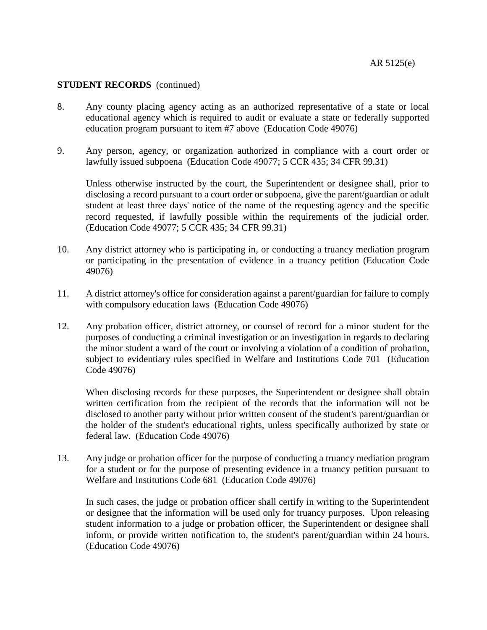- 8. Any county placing agency acting as an authorized representative of a state or local educational agency which is required to audit or evaluate a state or federally supported education program pursuant to item #7 above (Education Code 49076)
- 9. Any person, agency, or organization authorized in compliance with a court order or lawfully issued subpoena (Education Code 49077; 5 CCR 435; 34 CFR 99.31)

Unless otherwise instructed by the court, the Superintendent or designee shall, prior to disclosing a record pursuant to a court order or subpoena, give the parent/guardian or adult student at least three days' notice of the name of the requesting agency and the specific record requested, if lawfully possible within the requirements of the judicial order. (Education Code 49077; 5 CCR 435; 34 CFR 99.31)

- 10. Any district attorney who is participating in, or conducting a truancy mediation program or participating in the presentation of evidence in a truancy petition (Education Code 49076)
- 11. A district attorney's office for consideration against a parent/guardian for failure to comply with compulsory education laws (Education Code 49076)
- 12. Any probation officer, district attorney, or counsel of record for a minor student for the purposes of conducting a criminal investigation or an investigation in regards to declaring the minor student a ward of the court or involving a violation of a condition of probation, subject to evidentiary rules specified in Welfare and Institutions Code 701 (Education Code 49076)

When disclosing records for these purposes, the Superintendent or designee shall obtain written certification from the recipient of the records that the information will not be disclosed to another party without prior written consent of the student's parent/guardian or the holder of the student's educational rights, unless specifically authorized by state or federal law. (Education Code 49076)

13. Any judge or probation officer for the purpose of conducting a truancy mediation program for a student or for the purpose of presenting evidence in a truancy petition pursuant to Welfare and Institutions Code 681 (Education Code 49076)

In such cases, the judge or probation officer shall certify in writing to the Superintendent or designee that the information will be used only for truancy purposes. Upon releasing student information to a judge or probation officer, the Superintendent or designee shall inform, or provide written notification to, the student's parent/guardian within 24 hours. (Education Code 49076)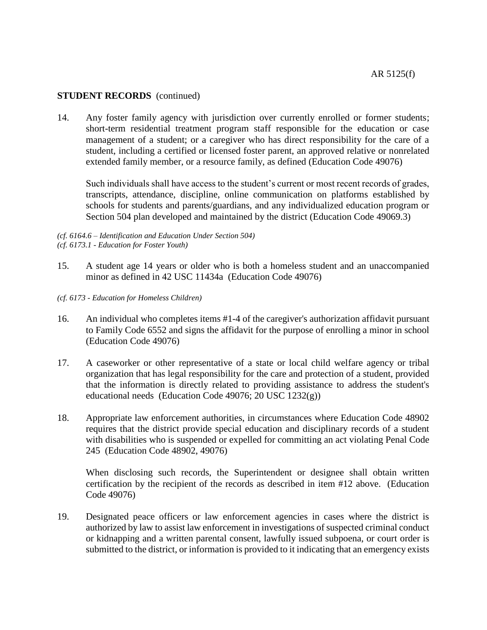14. Any foster family agency with jurisdiction over currently enrolled or former students; short-term residential treatment program staff responsible for the education or case management of a student; or a caregiver who has direct responsibility for the care of a student, including a certified or licensed foster parent, an approved relative or nonrelated extended family member, or a resource family, as defined (Education Code 49076)

Such individuals shall have access to the student's current or most recent records of grades, transcripts, attendance, discipline, online communication on platforms established by schools for students and parents/guardians, and any individualized education program or Section 504 plan developed and maintained by the district (Education Code 49069.3)

*(cf. 6164.6 – Identification and Education Under Section 504) (cf. 6173.1 - Education for Foster Youth)*

- 15. A student age 14 years or older who is both a homeless student and an unaccompanied minor as defined in 42 USC 11434a (Education Code 49076)
- *(cf. 6173 - Education for Homeless Children)*
- 16. An individual who completes items #1-4 of the caregiver's authorization affidavit pursuant to Family Code 6552 and signs the affidavit for the purpose of enrolling a minor in school (Education Code 49076)
- 17. A caseworker or other representative of a state or local child welfare agency or tribal organization that has legal responsibility for the care and protection of a student, provided that the information is directly related to providing assistance to address the student's educational needs (Education Code 49076; 20 USC 1232(g))
- 18. Appropriate law enforcement authorities, in circumstances where Education Code 48902 requires that the district provide special education and disciplinary records of a student with disabilities who is suspended or expelled for committing an act violating Penal Code 245 (Education Code 48902, 49076)

When disclosing such records, the Superintendent or designee shall obtain written certification by the recipient of the records as described in item #12 above. (Education Code 49076)

19. Designated peace officers or law enforcement agencies in cases where the district is authorized by law to assist law enforcement in investigations of suspected criminal conduct or kidnapping and a written parental consent, lawfully issued subpoena, or court order is submitted to the district, or information is provided to it indicating that an emergency exists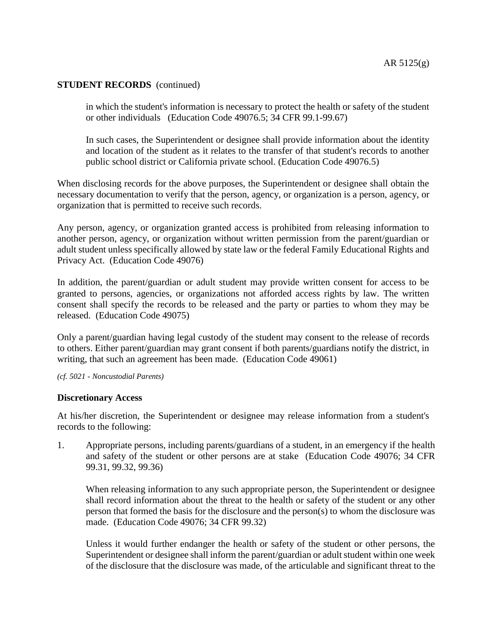in which the student's information is necessary to protect the health or safety of the student or other individuals (Education Code 49076.5; 34 CFR 99.1-99.67)

In such cases, the Superintendent or designee shall provide information about the identity and location of the student as it relates to the transfer of that student's records to another public school district or California private school. (Education Code 49076.5)

When disclosing records for the above purposes, the Superintendent or designee shall obtain the necessary documentation to verify that the person, agency, or organization is a person, agency, or organization that is permitted to receive such records.

Any person, agency, or organization granted access is prohibited from releasing information to another person, agency, or organization without written permission from the parent/guardian or adult student unless specifically allowed by state law or the federal Family Educational Rights and Privacy Act. (Education Code 49076)

In addition, the parent/guardian or adult student may provide written consent for access to be granted to persons, agencies, or organizations not afforded access rights by law. The written consent shall specify the records to be released and the party or parties to whom they may be released. (Education Code 49075)

Only a parent/guardian having legal custody of the student may consent to the release of records to others. Either parent/guardian may grant consent if both parents/guardians notify the district, in writing, that such an agreement has been made. (Education Code 49061)

#### *(cf. 5021 - Noncustodial Parents)*

## **Discretionary Access**

At his/her discretion, the Superintendent or designee may release information from a student's records to the following:

1. Appropriate persons, including parents/guardians of a student, in an emergency if the health and safety of the student or other persons are at stake (Education Code 49076; 34 CFR 99.31, 99.32, 99.36)

When releasing information to any such appropriate person, the Superintendent or designee shall record information about the threat to the health or safety of the student or any other person that formed the basis for the disclosure and the person(s) to whom the disclosure was made. (Education Code 49076; 34 CFR 99.32)

Unless it would further endanger the health or safety of the student or other persons, the Superintendent or designee shall inform the parent/guardian or adult student within one week of the disclosure that the disclosure was made, of the articulable and significant threat to the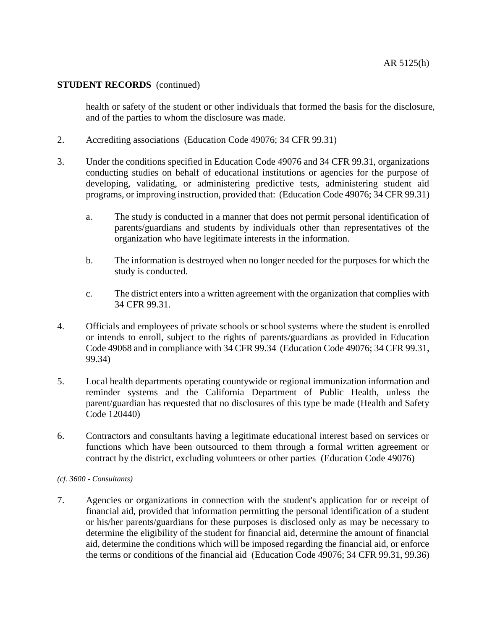health or safety of the student or other individuals that formed the basis for the disclosure, and of the parties to whom the disclosure was made.

- 2. Accrediting associations (Education Code 49076; 34 CFR 99.31)
- 3. Under the conditions specified in Education Code 49076 and 34 CFR 99.31, organizations conducting studies on behalf of educational institutions or agencies for the purpose of developing, validating, or administering predictive tests, administering student aid programs, or improving instruction, provided that: (Education Code 49076; 34 CFR 99.31)
	- a. The study is conducted in a manner that does not permit personal identification of parents/guardians and students by individuals other than representatives of the organization who have legitimate interests in the information.
	- b. The information is destroyed when no longer needed for the purposes for which the study is conducted.
	- c. The district enters into a written agreement with the organization that complies with 34 CFR 99.31.
- 4. Officials and employees of private schools or school systems where the student is enrolled or intends to enroll, subject to the rights of parents/guardians as provided in Education Code 49068 and in compliance with 34 CFR 99.34 (Education Code 49076; 34 CFR 99.31, 99.34)
- 5. Local health departments operating countywide or regional immunization information and reminder systems and the California Department of Public Health, unless the parent/guardian has requested that no disclosures of this type be made (Health and Safety Code 120440)
- 6. Contractors and consultants having a legitimate educational interest based on services or functions which have been outsourced to them through a formal written agreement or contract by the district, excluding volunteers or other parties (Education Code 49076)

#### *(cf. 3600 - Consultants)*

7. Agencies or organizations in connection with the student's application for or receipt of financial aid, provided that information permitting the personal identification of a student or his/her parents/guardians for these purposes is disclosed only as may be necessary to determine the eligibility of the student for financial aid, determine the amount of financial aid, determine the conditions which will be imposed regarding the financial aid, or enforce the terms or conditions of the financial aid (Education Code 49076; 34 CFR 99.31, 99.36)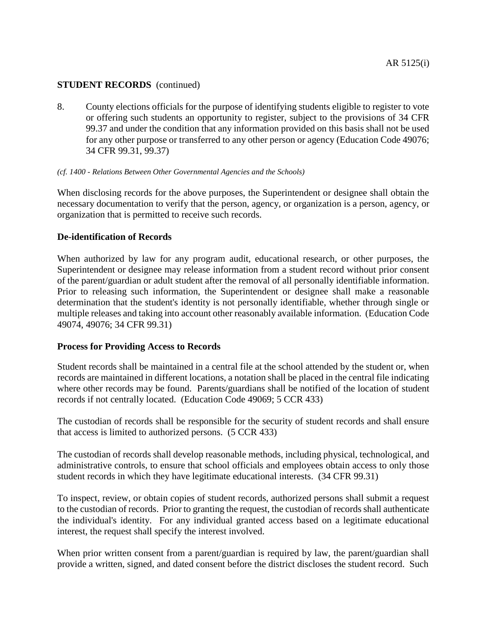8. County elections officials for the purpose of identifying students eligible to register to vote or offering such students an opportunity to register, subject to the provisions of 34 CFR 99.37 and under the condition that any information provided on this basis shall not be used for any other purpose or transferred to any other person or agency (Education Code 49076; 34 CFR 99.31, 99.37)

## *(cf. 1400 - Relations Between Other Governmental Agencies and the Schools)*

When disclosing records for the above purposes, the Superintendent or designee shall obtain the necessary documentation to verify that the person, agency, or organization is a person, agency, or organization that is permitted to receive such records.

# **De-identification of Records**

When authorized by law for any program audit, educational research, or other purposes, the Superintendent or designee may release information from a student record without prior consent of the parent/guardian or adult student after the removal of all personally identifiable information. Prior to releasing such information, the Superintendent or designee shall make a reasonable determination that the student's identity is not personally identifiable, whether through single or multiple releases and taking into account other reasonably available information. (Education Code 49074, 49076; 34 CFR 99.31)

## **Process for Providing Access to Records**

Student records shall be maintained in a central file at the school attended by the student or, when records are maintained in different locations, a notation shall be placed in the central file indicating where other records may be found. Parents/guardians shall be notified of the location of student records if not centrally located. (Education Code 49069; 5 CCR 433)

The custodian of records shall be responsible for the security of student records and shall ensure that access is limited to authorized persons. (5 CCR 433)

The custodian of records shall develop reasonable methods, including physical, technological, and administrative controls, to ensure that school officials and employees obtain access to only those student records in which they have legitimate educational interests. (34 CFR 99.31)

To inspect, review, or obtain copies of student records, authorized persons shall submit a request to the custodian of records. Prior to granting the request, the custodian of records shall authenticate the individual's identity. For any individual granted access based on a legitimate educational interest, the request shall specify the interest involved.

When prior written consent from a parent/guardian is required by law, the parent/guardian shall provide a written, signed, and dated consent before the district discloses the student record. Such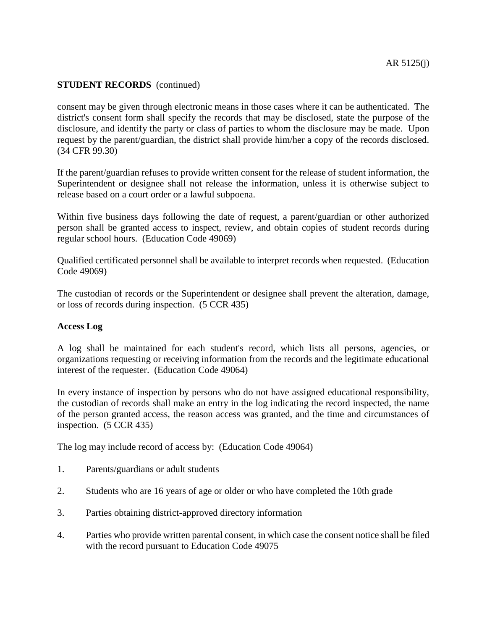consent may be given through electronic means in those cases where it can be authenticated. The district's consent form shall specify the records that may be disclosed, state the purpose of the disclosure, and identify the party or class of parties to whom the disclosure may be made. Upon request by the parent/guardian, the district shall provide him/her a copy of the records disclosed. (34 CFR 99.30)

If the parent/guardian refuses to provide written consent for the release of student information, the Superintendent or designee shall not release the information, unless it is otherwise subject to release based on a court order or a lawful subpoena.

Within five business days following the date of request, a parent/guardian or other authorized person shall be granted access to inspect, review, and obtain copies of student records during regular school hours. (Education Code 49069)

Qualified certificated personnel shall be available to interpret records when requested. (Education Code 49069)

The custodian of records or the Superintendent or designee shall prevent the alteration, damage, or loss of records during inspection. (5 CCR 435)

## **Access Log**

A log shall be maintained for each student's record, which lists all persons, agencies, or organizations requesting or receiving information from the records and the legitimate educational interest of the requester. (Education Code 49064)

In every instance of inspection by persons who do not have assigned educational responsibility, the custodian of records shall make an entry in the log indicating the record inspected, the name of the person granted access, the reason access was granted, and the time and circumstances of inspection. (5 CCR 435)

The log may include record of access by: (Education Code 49064)

- 1. Parents/guardians or adult students
- 2. Students who are 16 years of age or older or who have completed the 10th grade
- 3. Parties obtaining district-approved directory information
- 4. Parties who provide written parental consent, in which case the consent notice shall be filed with the record pursuant to Education Code 49075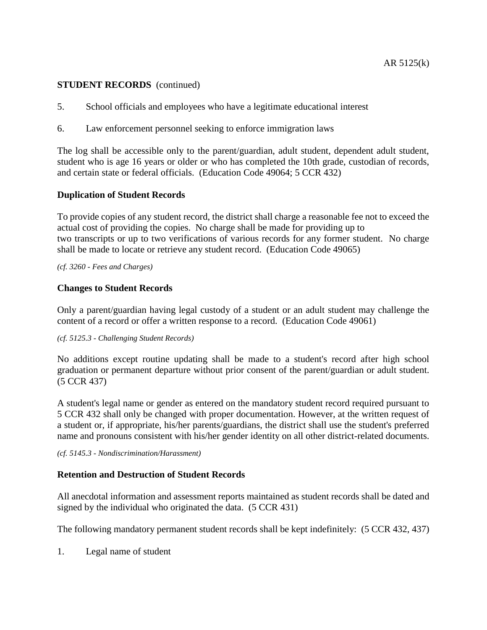- 5. School officials and employees who have a legitimate educational interest
- 6. Law enforcement personnel seeking to enforce immigration laws

The log shall be accessible only to the parent/guardian, adult student, dependent adult student, student who is age 16 years or older or who has completed the 10th grade, custodian of records, and certain state or federal officials. (Education Code 49064; 5 CCR 432)

## **Duplication of Student Records**

To provide copies of any student record, the district shall charge a reasonable fee not to exceed the actual cost of providing the copies. No charge shall be made for providing up to two transcripts or up to two verifications of various records for any former student. No charge shall be made to locate or retrieve any student record. (Education Code 49065)

*(cf. 3260 - Fees and Charges)*

## **Changes to Student Records**

Only a parent/guardian having legal custody of a student or an adult student may challenge the content of a record or offer a written response to a record. (Education Code 49061)

## *(cf. 5125.3 - Challenging Student Records)*

No additions except routine updating shall be made to a student's record after high school graduation or permanent departure without prior consent of the parent/guardian or adult student. (5 CCR 437)

A student's legal name or gender as entered on the mandatory student record required pursuant to 5 CCR 432 shall only be changed with proper documentation. However, at the written request of a student or, if appropriate, his/her parents/guardians, the district shall use the student's preferred name and pronouns consistent with his/her gender identity on all other district-related documents.

#### *(cf. 5145.3 - Nondiscrimination/Harassment)*

# **Retention and Destruction of Student Records**

All anecdotal information and assessment reports maintained as student records shall be dated and signed by the individual who originated the data. (5 CCR 431)

The following mandatory permanent student records shall be kept indefinitely: (5 CCR 432, 437)

1. Legal name of student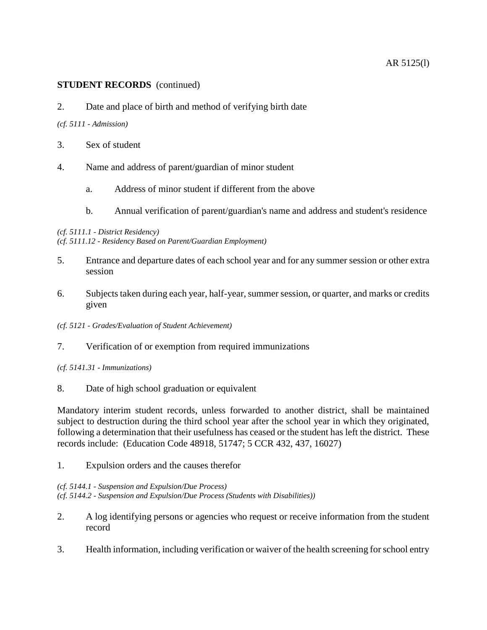2. Date and place of birth and method of verifying birth date

## *(cf. 5111 - Admission)*

- 3. Sex of student
- 4. Name and address of parent/guardian of minor student
	- a. Address of minor student if different from the above
	- b. Annual verification of parent/guardian's name and address and student's residence

## *(cf. 5111.1 - District Residency)*

*(cf. 5111.12 - Residency Based on Parent/Guardian Employment)*

- 5. Entrance and departure dates of each school year and for any summer session or other extra session
- 6. Subjects taken during each year, half-year, summer session, or quarter, and marks or credits given
- *(cf. 5121 - Grades/Evaluation of Student Achievement)*
- 7. Verification of or exemption from required immunizations

*(cf. 5141.31 - Immunizations)*

8. Date of high school graduation or equivalent

Mandatory interim student records, unless forwarded to another district, shall be maintained subject to destruction during the third school year after the school year in which they originated, following a determination that their usefulness has ceased or the student has left the district. These records include: (Education Code 48918, 51747; 5 CCR 432, 437, 16027)

1. Expulsion orders and the causes therefor

*(cf. 5144.1 - Suspension and Expulsion/Due Process) (cf. 5144.2 - Suspension and Expulsion/Due Process (Students with Disabilities))*

- 2. A log identifying persons or agencies who request or receive information from the student record
- 3. Health information, including verification or waiver of the health screening for school entry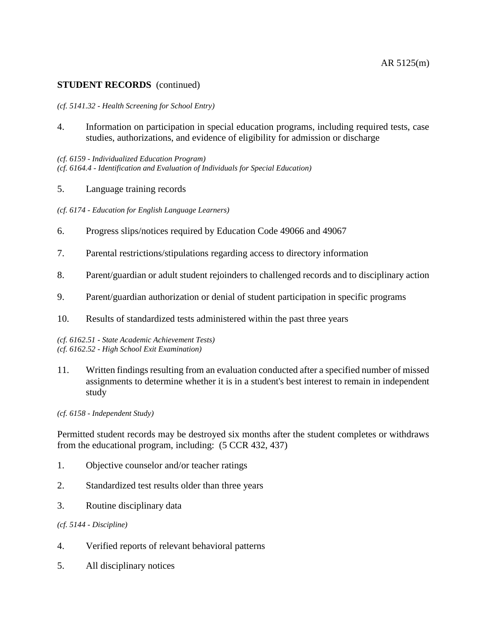#### *(cf. 5141.32 - Health Screening for School Entry)*

4. Information on participation in special education programs, including required tests, case studies, authorizations, and evidence of eligibility for admission or discharge

*(cf. 6159 - Individualized Education Program) (cf. 6164.4 - Identification and Evaluation of Individuals for Special Education)*

5. Language training records

*(cf. 6174 - Education for English Language Learners)*

- 6. Progress slips/notices required by Education Code 49066 and 49067
- 7. Parental restrictions/stipulations regarding access to directory information
- 8. Parent/guardian or adult student rejoinders to challenged records and to disciplinary action
- 9. Parent/guardian authorization or denial of student participation in specific programs
- 10. Results of standardized tests administered within the past three years

*(cf. 6162.51 - State Academic Achievement Tests) (cf. 6162.52 - High School Exit Examination)*

11. Written findings resulting from an evaluation conducted after a specified number of missed assignments to determine whether it is in a student's best interest to remain in independent study

*(cf. 6158 - Independent Study)*

Permitted student records may be destroyed six months after the student completes or withdraws from the educational program, including: (5 CCR 432, 437)

- 1. Objective counselor and/or teacher ratings
- 2. Standardized test results older than three years
- 3. Routine disciplinary data

*(cf. 5144 - Discipline)*

- 4. Verified reports of relevant behavioral patterns
- 5. All disciplinary notices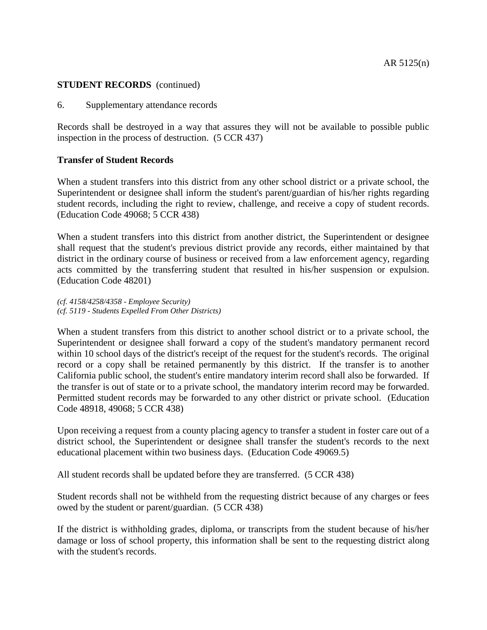6. Supplementary attendance records

Records shall be destroyed in a way that assures they will not be available to possible public inspection in the process of destruction. (5 CCR 437)

## **Transfer of Student Records**

When a student transfers into this district from any other school district or a private school, the Superintendent or designee shall inform the student's parent/guardian of his/her rights regarding student records, including the right to review, challenge, and receive a copy of student records. (Education Code 49068; 5 CCR 438)

When a student transfers into this district from another district, the Superintendent or designee shall request that the student's previous district provide any records, either maintained by that district in the ordinary course of business or received from a law enforcement agency, regarding acts committed by the transferring student that resulted in his/her suspension or expulsion. (Education Code 48201)

*(cf. 4158/4258/4358 - Employee Security) (cf. 5119 - Students Expelled From Other Districts)*

When a student transfers from this district to another school district or to a private school, the Superintendent or designee shall forward a copy of the student's mandatory permanent record within 10 school days of the district's receipt of the request for the student's records. The original record or a copy shall be retained permanently by this district. If the transfer is to another California public school, the student's entire mandatory interim record shall also be forwarded. If the transfer is out of state or to a private school, the mandatory interim record may be forwarded. Permitted student records may be forwarded to any other district or private school. (Education Code 48918, 49068; 5 CCR 438)

Upon receiving a request from a county placing agency to transfer a student in foster care out of a district school, the Superintendent or designee shall transfer the student's records to the next educational placement within two business days. (Education Code 49069.5)

All student records shall be updated before they are transferred. (5 CCR 438)

Student records shall not be withheld from the requesting district because of any charges or fees owed by the student or parent/guardian. (5 CCR 438)

If the district is withholding grades, diploma, or transcripts from the student because of his/her damage or loss of school property, this information shall be sent to the requesting district along with the student's records.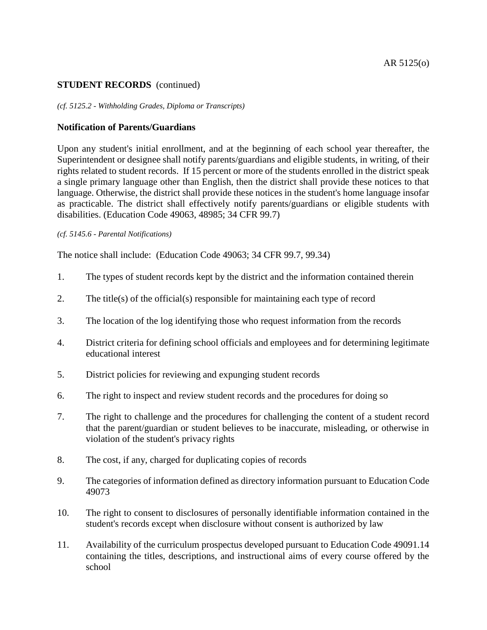#### *(cf. 5125.2 - Withholding Grades, Diploma or Transcripts)*

## **Notification of Parents/Guardians**

Upon any student's initial enrollment, and at the beginning of each school year thereafter, the Superintendent or designee shall notify parents/guardians and eligible students, in writing, of their rights related to student records. If 15 percent or more of the students enrolled in the district speak a single primary language other than English, then the district shall provide these notices to that language. Otherwise, the district shall provide these notices in the student's home language insofar as practicable. The district shall effectively notify parents/guardians or eligible students with disabilities. (Education Code 49063, 48985; 34 CFR 99.7)

## *(cf. 5145.6 - Parental Notifications)*

The notice shall include: (Education Code 49063; 34 CFR 99.7, 99.34)

- 1. The types of student records kept by the district and the information contained therein
- 2. The title(s) of the official(s) responsible for maintaining each type of record
- 3. The location of the log identifying those who request information from the records
- 4. District criteria for defining school officials and employees and for determining legitimate educational interest
- 5. District policies for reviewing and expunging student records
- 6. The right to inspect and review student records and the procedures for doing so
- 7. The right to challenge and the procedures for challenging the content of a student record that the parent/guardian or student believes to be inaccurate, misleading, or otherwise in violation of the student's privacy rights
- 8. The cost, if any, charged for duplicating copies of records
- 9. The categories of information defined as directory information pursuant to Education Code 49073
- 10. The right to consent to disclosures of personally identifiable information contained in the student's records except when disclosure without consent is authorized by law
- 11. Availability of the curriculum prospectus developed pursuant to Education Code 49091.14 containing the titles, descriptions, and instructional aims of every course offered by the school